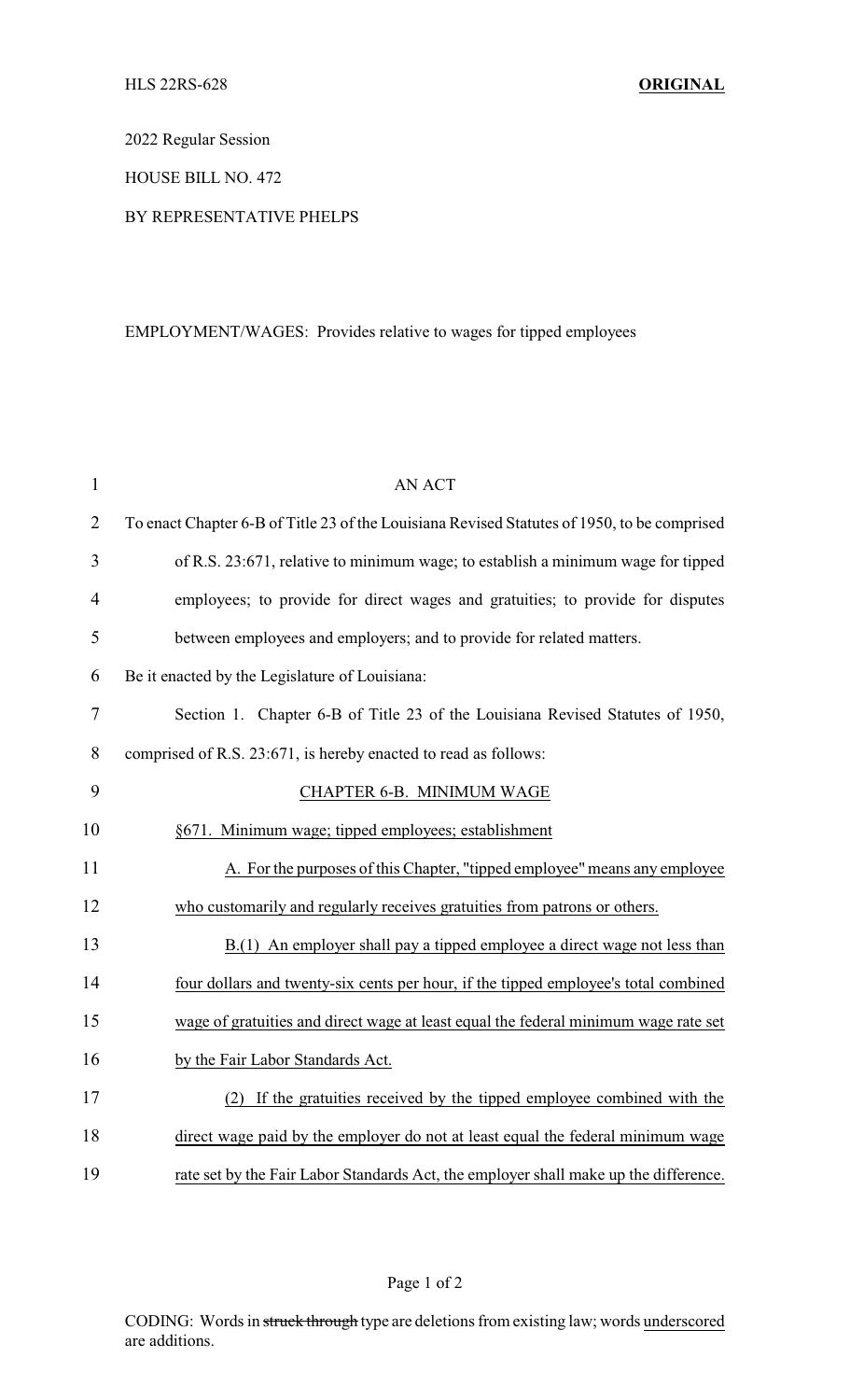2022 Regular Session

HOUSE BILL NO. 472

## BY REPRESENTATIVE PHELPS

## EMPLOYMENT/WAGES: Provides relative to wages for tipped employees

| $\mathbf{1}$   | <b>AN ACT</b>                                                                               |
|----------------|---------------------------------------------------------------------------------------------|
| $\overline{2}$ | To enact Chapter 6-B of Title 23 of the Louisiana Revised Statutes of 1950, to be comprised |
| 3              | of R.S. 23:671, relative to minimum wage; to establish a minimum wage for tipped            |
| $\overline{4}$ | employees; to provide for direct wages and gratuities; to provide for disputes              |
| 5              | between employees and employers; and to provide for related matters.                        |
| 6              | Be it enacted by the Legislature of Louisiana:                                              |
| $\overline{7}$ | Section 1. Chapter 6-B of Title 23 of the Louisiana Revised Statutes of 1950,               |
| 8              | comprised of R.S. 23:671, is hereby enacted to read as follows:                             |
| 9              | CHAPTER 6-B. MINIMUM WAGE                                                                   |
| 10             | §671. Minimum wage; tipped employees; establishment                                         |
| 11             | A. For the purposes of this Chapter, "tipped employee" means any employee                   |
| 12             | who customarily and regularly receives gratuities from patrons or others.                   |
| 13             | B.(1) An employer shall pay a tipped employee a direct wage not less than                   |
| 14             | four dollars and twenty-six cents per hour, if the tipped employee's total combined         |
| 15             | wage of gratuities and direct wage at least equal the federal minimum wage rate set         |
| 16             | by the Fair Labor Standards Act.                                                            |
| 17             | (2) If the gratuities received by the tipped employee combined with the                     |
| 18             | direct wage paid by the employer do not at least equal the federal minimum wage             |
| 19             | rate set by the Fair Labor Standards Act, the employer shall make up the difference.        |